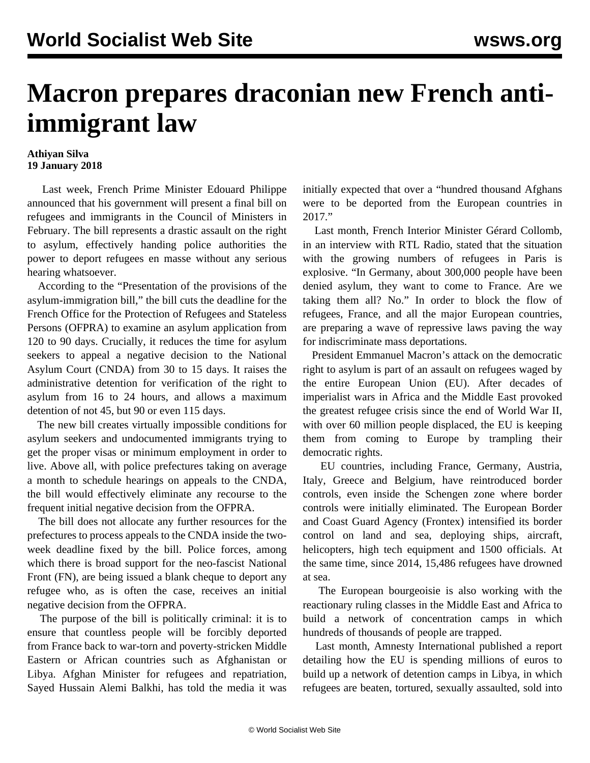## **Macron prepares draconian new French antiimmigrant law**

## **Athiyan Silva 19 January 2018**

 Last week, French Prime Minister Edouard Philippe announced that his government will present a final bill on refugees and immigrants in the Council of Ministers in February. The bill represents a drastic assault on the right to asylum, effectively handing police authorities the power to deport refugees en masse without any serious hearing whatsoever.

 According to the "Presentation of the provisions of the asylum-immigration bill," the bill cuts the deadline for the French Office for the Protection of Refugees and Stateless Persons (OFPRA) to examine an asylum application from 120 to 90 days. Crucially, it reduces the time for asylum seekers to appeal a negative decision to the National Asylum Court (CNDA) from 30 to 15 days. It raises the administrative detention for verification of the right to asylum from 16 to 24 hours, and allows a maximum detention of not 45, but 90 or even 115 days.

 The new bill creates virtually impossible conditions for asylum seekers and undocumented immigrants trying to get the proper visas or minimum employment in order to live. Above all, with police prefectures taking on average a month to schedule hearings on appeals to the CNDA, the bill would effectively eliminate any recourse to the frequent initial negative decision from the OFPRA.

 The bill does not allocate any further resources for the prefectures to process appeals to the CNDA inside the twoweek deadline fixed by the bill. Police forces, among which there is broad support for the neo-fascist National Front (FN), are being issued a blank cheque to deport any refugee who, as is often the case, receives an initial negative decision from the OFPRA.

 The purpose of the bill is politically criminal: it is to ensure that countless people will be forcibly deported from France back to war-torn and poverty-stricken Middle Eastern or African countries such as Afghanistan or Libya. Afghan Minister for refugees and repatriation, Sayed Hussain Alemi Balkhi, has told the media it was

initially expected that over a "hundred thousand Afghans were to be deported from the European countries in 2017."

 Last month, French Interior Minister Gérard Collomb, in an interview with RTL Radio, stated that the situation with the growing numbers of refugees in Paris is explosive. "In Germany, about 300,000 people have been denied asylum, they want to come to France. Are we taking them all? No." In order to block the flow of refugees, France, and all the major European countries, are preparing a wave of repressive laws paving the way for indiscriminate mass deportations.

 President Emmanuel Macron's attack on the democratic right to asylum is part of an assault on refugees waged by the entire European Union (EU). After decades of imperialist wars in Africa and the Middle East provoked the greatest refugee crisis since the end of World War II, with over 60 million people displaced, the EU is keeping them from coming to Europe by trampling their democratic rights.

 EU countries, including France, Germany, Austria, Italy, Greece and Belgium, have reintroduced border controls, even inside the Schengen zone where border controls were initially eliminated. The European Border and Coast Guard Agency (Frontex) intensified its border control on land and sea, deploying ships, aircraft, helicopters, high tech equipment and 1500 officials. At the same time, since 2014, 15,486 refugees have drowned at sea.

 The European bourgeoisie is also working with the reactionary ruling classes in the Middle East and Africa to build a network of concentration camps in which hundreds of thousands of people are trapped.

 Last month, Amnesty International published a report detailing how the EU is spending millions of euros to build up a network of detention camps in Libya, in which refugees are beaten, tortured, sexually assaulted, sold into